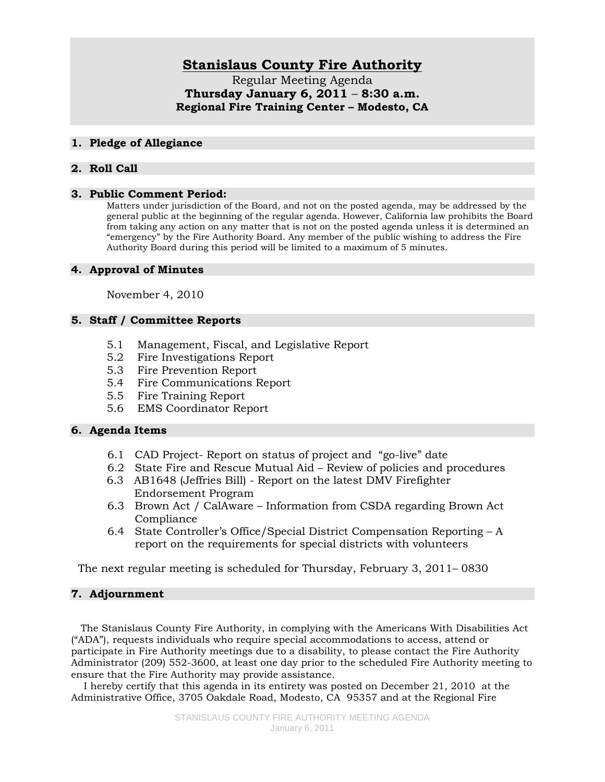# **Stanislaus County Fire Authority**

Regular Meeting Agenda **Thursday January 6, 2011** – **8:30 a.m. Regional Fire Training Center – Modesto, CA**

#### **1. Pledge of Allegiance**

# **2. Roll Call**

#### **3. Public Comment Period:**

Matters under jurisdiction of the Board, and not on the posted agenda, may be addressed by the general public at the beginning of the regular agenda. However, California law prohibits the Board from taking any action on any matter that is not on the posted agenda unless it is determined an "emergency" by the Fire Authority Board. Any member of the public wishing to address the Fire Authority Board during this period will be limited to a maximum of 5 minutes.

#### **4. Approval of Minutes**

November 4, 2010

# **5. Staff / Committee Reports**

- 5.1 Management, Fiscal, and Legislative Report
- 5.2 Fire Investigations Report
- 5.3 Fire Prevention Report
- 5.4 Fire Communications Report
- 5.5 Fire Training Report
- 5.6 EMS Coordinator Report

# **6. Agenda Items**

- 6.1 CAD Project- Report on status of project and "go-live" date
- 6.2 State Fire and Rescue Mutual Aid Review of policies and procedures
- 6.3 AB1648 (Jeffries Bill) Report on the latest DMV Firefighter Endorsement Program
- 6.3 Brown Act / CalAware Information from CSDA regarding Brown Act Compliance
- 6.4 State Controller's Office/Special District Compensation Reporting A report on the requirements for special districts with volunteers

The next regular meeting is scheduled for Thursday, February 3, 2011– 0830

# **7. Adjournment**

 The Stanislaus County Fire Authority, in complying with the Americans With Disabilities Act ("ADA"), requests individuals who require special accommodations to access, attend or participate in Fire Authority meetings due to a disability, to please contact the Fire Authority Administrator (209) 552-3600, at least one day prior to the scheduled Fire Authority meeting to ensure that the Fire Authority may provide assistance.

 I hereby certify that this agenda in its entirety was posted on December 21, 2010 at the Administrative Office, 3705 Oakdale Road, Modesto, CA 95357 and at the Regional Fire